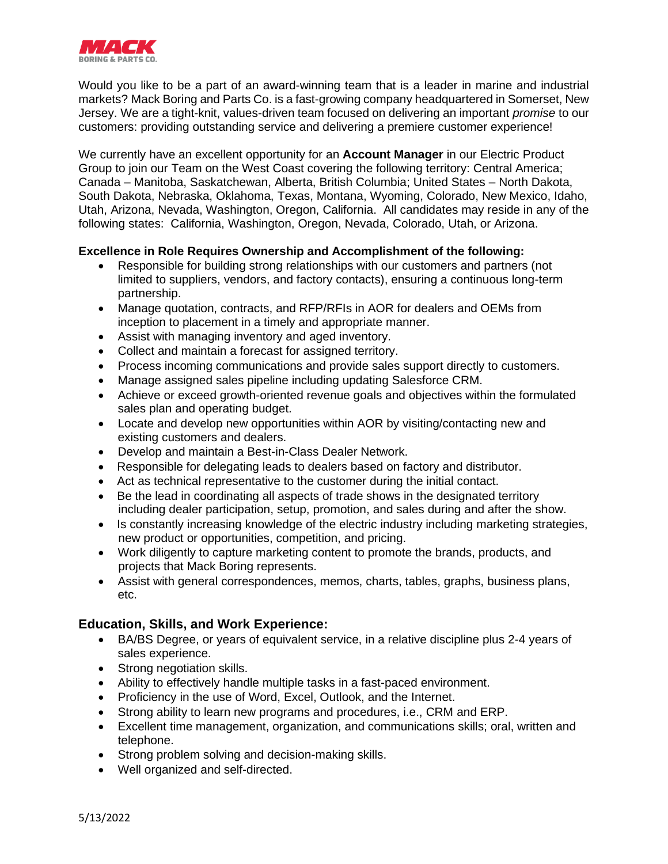

Would you like to be a part of an award-winning team that is a leader in marine and industrial markets? Mack Boring and Parts Co. is a fast-growing company headquartered in Somerset, New Jersey. We are a tight-knit, values-driven team focused on delivering an important *promise* to our customers: providing outstanding service and delivering a premiere customer experience!

We currently have an excellent opportunity for an **Account Manager** in our Electric Product Group to join our Team on the West Coast covering the following territory: Central America; Canada – Manitoba, Saskatchewan, Alberta, British Columbia; United States – North Dakota, South Dakota, Nebraska, Oklahoma, Texas, Montana, Wyoming, Colorado, New Mexico, Idaho, Utah, Arizona, Nevada, Washington, Oregon, California. All candidates may reside in any of the following states: California, Washington, Oregon, Nevada, Colorado, Utah, or Arizona.

## **Excellence in Role Requires Ownership and Accomplishment of the following:**

- Responsible for building strong relationships with our customers and partners (not limited to suppliers, vendors, and factory contacts), ensuring a continuous long-term partnership.
- Manage quotation, contracts, and RFP/RFIs in AOR for dealers and OEMs from inception to placement in a timely and appropriate manner.
- Assist with managing inventory and aged inventory.
- Collect and maintain a forecast for assigned territory.
- Process incoming communications and provide sales support directly to customers.
- Manage assigned sales pipeline including updating Salesforce CRM.
- Achieve or exceed growth-oriented revenue goals and objectives within the formulated sales plan and operating budget.
- Locate and develop new opportunities within AOR by visiting/contacting new and existing customers and dealers.
- Develop and maintain a Best-in-Class Dealer Network.
- Responsible for delegating leads to dealers based on factory and distributor.
- Act as technical representative to the customer during the initial contact.
- Be the lead in coordinating all aspects of trade shows in the designated territory including dealer participation, setup, promotion, and sales during and after the show.
- Is constantly increasing knowledge of the electric industry including marketing strategies, new product or opportunities, competition, and pricing.
- Work diligently to capture marketing content to promote the brands, products, and projects that Mack Boring represents.
- Assist with general correspondences, memos, charts, tables, graphs, business plans, etc.

## **Education, Skills, and Work Experience:**

- BA/BS Degree, or years of equivalent service, in a relative discipline plus 2-4 years of sales experience.
- Strong negotiation skills.
- Ability to effectively handle multiple tasks in a fast-paced environment.
- Proficiency in the use of Word, Excel, Outlook, and the Internet.
- Strong ability to learn new programs and procedures, i.e., CRM and ERP.
- Excellent time management, organization, and communications skills; oral, written and telephone.
- Strong problem solving and decision-making skills.
- Well organized and self-directed.